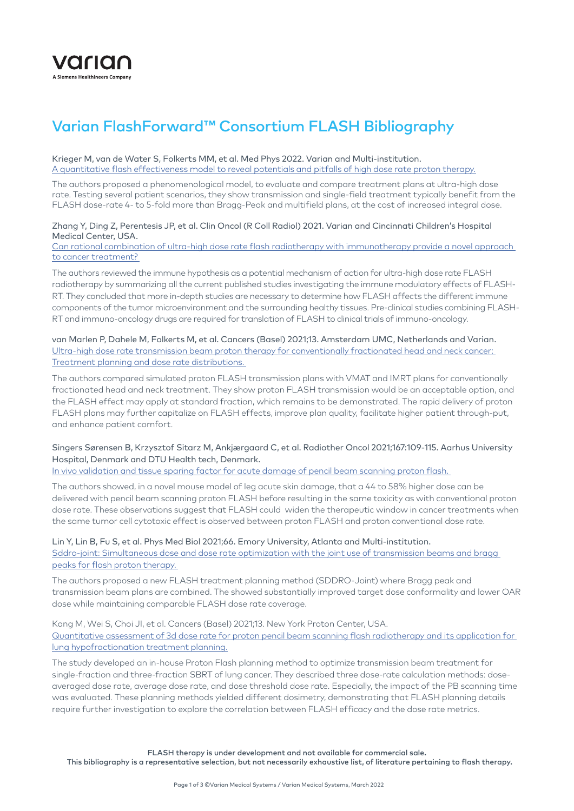

# Varian FlashForward™ Consortium FLASH Bibliography

#### Krieger M, van de Water S, Folkerts MM, et al. Med Phys 2022. Varian and Multi-institution. [A quantitative flash effectiveness model to reveal potentials and pitfalls of high dose rate proton therapy.](https://pubmed.ncbi.nlm.nih.gov/35032035)

The authors proposed a phenomenological model, to evaluate and compare treatment plans at ultra-high dose rate. Testing several patient scenarios, they show transmission and single-field treatment typically benefit from the FLASH dose-rate 4- to 5-fold more than Bragg-Peak and multifield plans, at the cost of increased integral dose.

### Zhang Y, Ding Z, Perentesis JP, et al. Clin Oncol (R Coll Radiol) 2021. Varian and Cincinnati Children's Hospital Medical Center, USA.

[Can rational combination of ultra-high dose rate flash radiotherapy with immunotherapy provide a novel approach](https://pubmed.ncbi.nlm.nih.gov/34551871)  [to cancer treatment?](https://pubmed.ncbi.nlm.nih.gov/34551871) 

The authors reviewed the immune hypothesis as a potential mechanism of action for ultra-high dose rate FLASH radiotherapy by summarizing all the current published studies investigating the immune modulatory effects of FLASH-RT. They concluded that more in-depth studies are necessary to determine how FLASH affects the different immune components of the tumor microenvironment and the surrounding healthy tissues. Pre-clinical studies combining FLASH-RT and immuno-oncology drugs are required for translation of FLASH to clinical trials of immuno-oncology.

# van Marlen P, Dahele M, Folkerts M, et al. Cancers (Basel) 2021;13. Amsterdam UMC, Netherlands and Varian. [Ultra-high dose rate transmission beam proton therapy for conventionally fractionated head and neck cancer:](https://pubmed.ncbi.nlm.nih.gov/33924627)  [Treatment planning and dose rate distributions.](https://pubmed.ncbi.nlm.nih.gov/33924627)

The authors compared simulated proton FLASH transmission plans with VMAT and IMRT plans for conventionally fractionated head and neck treatment. They show proton FLASH transmission would be an acceptable option, and the FLASH effect may apply at standard fraction, which remains to be demonstrated. The rapid delivery of proton FLASH plans may further capitalize on FLASH effects, improve plan quality, facilitate higher patient through-put, and enhance patient comfort.

# Singers Sørensen B, Krzysztof Sitarz M, Ankjærgaard C, et al. Radiother Oncol 2021;167:109-115. Aarhus University Hospital, Denmark and DTU Health tech, Denmark.

In vivo validation and tissue sparing factor for acute damage of pencil beam scanning proton flash.

The authors showed, in a novel mouse model of leg acute skin damage, that a 44 to 58% higher dose can be delivered with pencil beam scanning proton FLASH before resulting in the same toxicity as with conventional proton dose rate. These observations suggest that FLASH could widen the therapeutic window in cancer treatments when the same tumor cell cytotoxic effect is observed between proton FLASH and proton conventional dose rate.

# Lin Y, Lin B, Fu S, et al. Phys Med Biol 2021;66. Emory University, Atlanta and Multi-institution. [Sddro-joint: Simultaneous dose and dose rate optimization with the joint use of transmission beams and bragg](https://pubmed.ncbi.nlm.nih.gov/34010818)  [peaks for flash proton therapy.](https://pubmed.ncbi.nlm.nih.gov/34010818)

The authors proposed a new FLASH treatment planning method (SDDRO-Joint) where Bragg peak and transmission beam plans are combined. The showed substantially improved target dose conformality and lower OAR dose while maintaining comparable FLASH dose rate coverage.

# Kang M, Wei S, Choi JI, et al. Cancers (Basel) 2021;13. New York Proton Center, USA. [Quantitative assessment of 3d dose rate for proton pencil beam scanning flash radiotherapy and its application for](https://pubmed.ncbi.nlm.nih.gov/34298762)  [lung hypofractionation treatment planning.](https://pubmed.ncbi.nlm.nih.gov/34298762)

The study developed an in-house Proton Flash planning method to optimize transmission beam treatment for single-fraction and three-fraction SBRT of lung cancer. They described three dose-rate calculation methods: doseaveraged dose rate, average dose rate, and dose threshold dose rate. Especially, the impact of the PB scanning time was evaluated. These planning methods yielded different dosimetry, demonstrating that FLASH planning details require further investigation to explore the correlation between FLASH efficacy and the dose rate metrics.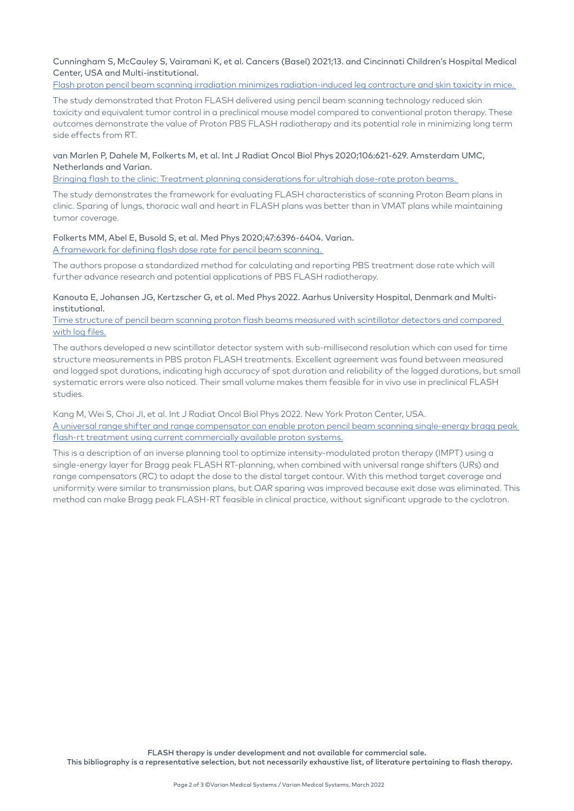Cunningham S, McCauley S, Vairamani K, et al. Cancers (Basel) 2021;13. and Cincinnati Children's Hospital Medical Center, USA and Multi-institutional.

[Flash proton pencil beam scanning irradiation minimizes radiation-induced leg contracture and skin toxicity in mice.](https://pubmed.ncbi.nlm.nih.gov/33804336) 

The study demonstrated that Proton FLASH delivered using pencil beam scanning technology reduced skin toxicity and equivalent tumor control in a preclinical mouse model compared to conventional proton therapy. These outcomes demonstrate the value of Proton PBS FLASH radiotherapy and its potential role in minimizing long term side effects from RT.

#### van Marlen P, Dahele M, Folkerts M, et al. Int J Radiat Oncol Biol Phys 2020;106:621-629. Amsterdam UMC, Netherlands and Varian.

[Bringing flash to the clinic: Treatment planning considerations for ultrahigh dose-rate proton beams.](https://pubmed.ncbi.nlm.nih.gov/31759074) 

The study demonstrates the framework for evaluating FLASH characteristics of scanning Proton Beam plans in clinic. Sparing of lungs, thoracic wall and heart in FLASH plans was better than in VMAT plans while maintaining tumor coverage.

# Folkerts MM, Abel E, Busold S, et al. Med Phys 2020;47:6396-6404. Varian. [A framework for defining flash dose rate for pencil beam scanning.](https://pubmed.ncbi.nlm.nih.gov/32910460)

The authors propose a standardized method for calculating and reporting PBS treatment dose rate which will further advance research and potential applications of PBS FLASH radiotherapy.

# Kanouta E, Johansen JG, Kertzscher G, et al. Med Phys 2022. Aarhus University Hospital, Denmark and Multiinstitutional.

#### [Time structure of pencil beam scanning proton flash beams measured with scintillator detectors and compared](https://pubmed.ncbi.nlm.nih.gov/35076947)  [with log files.](https://pubmed.ncbi.nlm.nih.gov/35076947)

The authors developed a new scintillator detector system with sub-millisecond resolution which can used for time structure measurements in PBS proton FLASH treatments. Excellent agreement was found between measured and logged spot durations, indicating high accuracy of spot duration and reliability of the logged durations, but small systematic errors were also noticed. Their small volume makes them feasible for in vivo use in preclinical FLASH studies.

Kang M, Wei S, Choi JI, et al. Int J Radiat Oncol Biol Phys 2022. New York Proton Center, USA. [A universal range shifter and range compensator can enable proton pencil beam scanning single-energy bragg peak](https://pubmed.ncbi.nlm.nih.gov/35101597/ 
)  [flash-rt treatment using current commercially available proton systems.](https://pubmed.ncbi.nlm.nih.gov/35101597/ 
)

This is a description of an inverse planning tool to optimize intensity-modulated proton therapy (IMPT) using a single-energy layer for Bragg peak FLASH RT-planning, when combined with universal range shifters (URs) and range compensators (RC) to adapt the dose to the distal target contour. With this method target coverage and uniformity were similar to transmission plans, but OAR sparing was improved because exit dose was eliminated. This method can make Bragg peak FLASH-RT feasible in clinical practice, without significant upgrade to the cyclotron.

FLASH therapy is under development and not available for commercial sale.

This bibliography is a representative selection, but not necessarily exhaustive list, of literature pertaining to flash therapy.